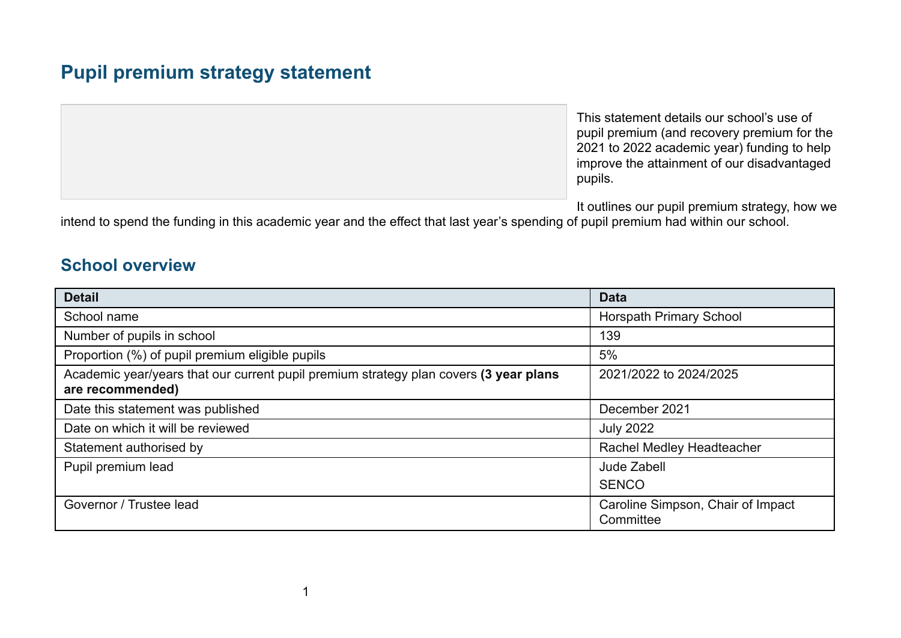# **Pupil premium strategy statement**

This statement details our school's use of pupil premium (and recovery premium for the 2021 to 2022 academic year) funding to help improve the attainment of our disadvantaged pupils.

It outlines our pupil premium strategy, how we

intend to spend the funding in this academic year and the effect that last year's spending of pupil premium had within our school.

#### **School overview**

| <b>Detail</b>                                                                                             | <b>Data</b>                                    |
|-----------------------------------------------------------------------------------------------------------|------------------------------------------------|
| School name                                                                                               | <b>Horspath Primary School</b>                 |
| Number of pupils in school                                                                                | 139                                            |
| Proportion (%) of pupil premium eligible pupils                                                           | 5%                                             |
| Academic year/years that our current pupil premium strategy plan covers (3 year plans<br>are recommended) | 2021/2022 to 2024/2025                         |
| Date this statement was published                                                                         | December 2021                                  |
| Date on which it will be reviewed                                                                         | <b>July 2022</b>                               |
| Statement authorised by                                                                                   | Rachel Medley Headteacher                      |
| Pupil premium lead                                                                                        | Jude Zabell                                    |
|                                                                                                           | <b>SENCO</b>                                   |
| Governor / Trustee lead                                                                                   | Caroline Simpson, Chair of Impact<br>Committee |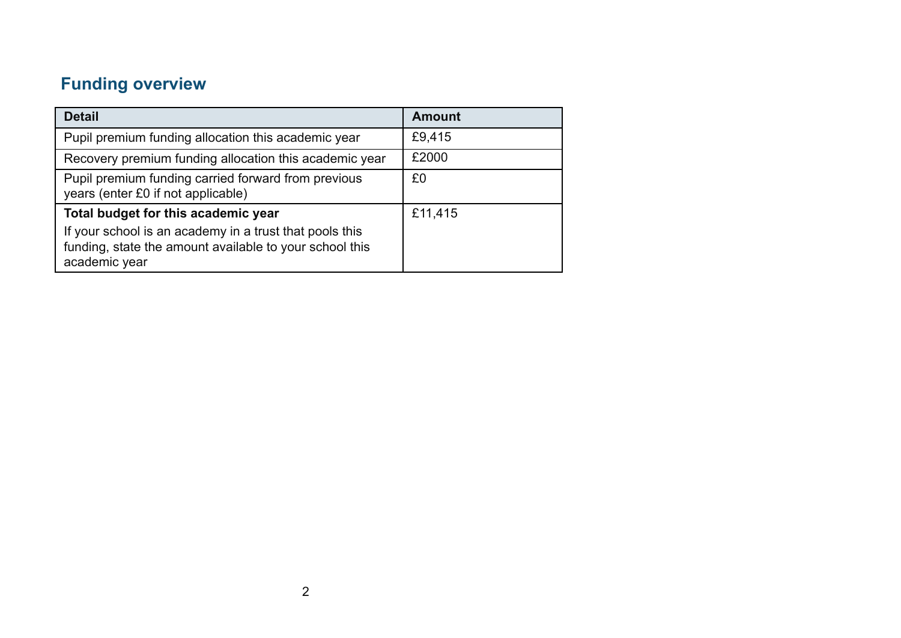# **Funding overview**

| <b>Detail</b>                                                                                                                       | <b>Amount</b> |
|-------------------------------------------------------------------------------------------------------------------------------------|---------------|
| Pupil premium funding allocation this academic year                                                                                 | £9,415        |
| Recovery premium funding allocation this academic year                                                                              | £2000         |
| Pupil premium funding carried forward from previous<br>years (enter £0 if not applicable)                                           | £0            |
| Total budget for this academic year                                                                                                 | £11,415       |
| If your school is an academy in a trust that pools this<br>funding, state the amount available to your school this<br>academic year |               |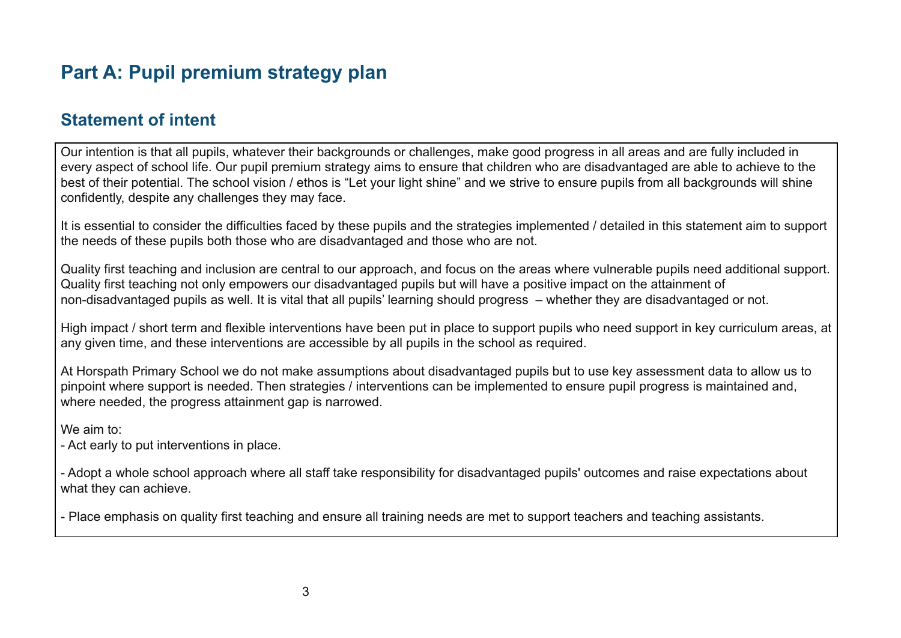# **Part A: Pupil premium strategy plan**

### **Statement of intent**

Our intention is that all pupils, whatever their backgrounds or challenges, make good progress in all areas and are fully included in every aspect of school life. Our pupil premium strategy aims to ensure that children who are disadvantaged are able to achieve to the best of their potential. The school vision / ethos is "Let your light shine" and we strive to ensure pupils from all backgrounds will shine confidently, despite any challenges they may face.

It is essential to consider the difficulties faced by these pupils and the strategies implemented / detailed in this statement aim to support the needs of these pupils both those who are disadvantaged and those who are not.

Quality first teaching and inclusion are central to our approach, and focus on the areas where vulnerable pupils need additional support. Quality first teaching not only empowers our disadvantaged pupils but will have a positive impact on the attainment of non-disadvantaged pupils as well. It is vital that all pupils' learning should progress – whether they are disadvantaged or not.

High impact / short term and flexible interventions have been put in place to support pupils who need support in key curriculum areas, at any given time, and these interventions are accessible by all pupils in the school as required.

At Horspath Primary School we do not make assumptions about disadvantaged pupils but to use key assessment data to allow us to pinpoint where support is needed. Then strategies / interventions can be implemented to ensure pupil progress is maintained and, where needed, the progress attainment gap is narrowed.

We aim to:

- Act early to put interventions in place.

- Adopt a whole school approach where all staff take responsibility for disadvantaged pupils' outcomes and raise expectations about what they can achieve.

- Place emphasis on quality first teaching and ensure all training needs are met to support teachers and teaching assistants.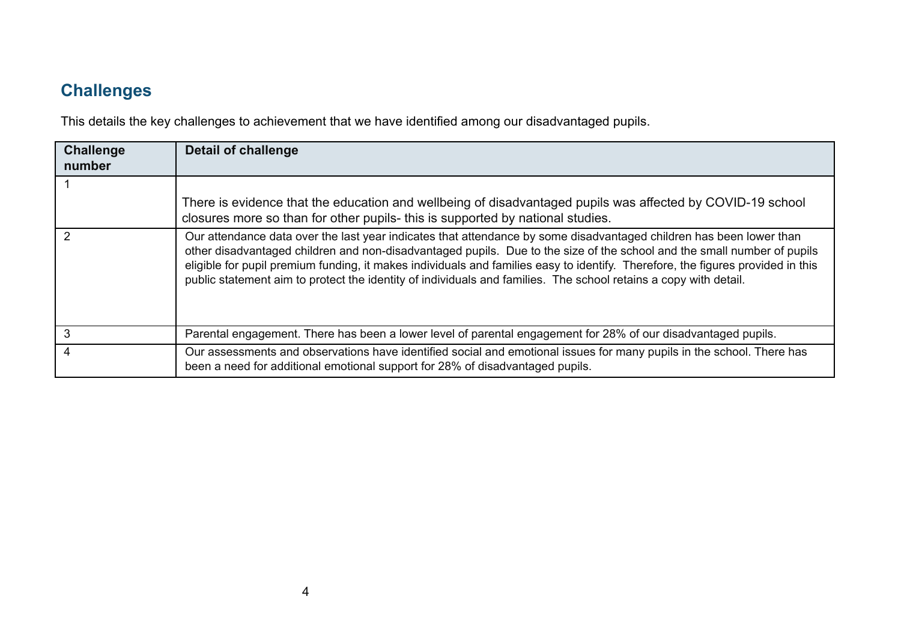## **Challenges**

This details the key challenges to achievement that we have identified among our disadvantaged pupils.

| <b>Challenge</b><br>number | Detail of challenge                                                                                                                                                                                                                                                                                                                                                                                                                                                                                   |
|----------------------------|-------------------------------------------------------------------------------------------------------------------------------------------------------------------------------------------------------------------------------------------------------------------------------------------------------------------------------------------------------------------------------------------------------------------------------------------------------------------------------------------------------|
|                            |                                                                                                                                                                                                                                                                                                                                                                                                                                                                                                       |
|                            | There is evidence that the education and wellbeing of disadvantaged pupils was affected by COVID-19 school<br>closures more so than for other pupils- this is supported by national studies.                                                                                                                                                                                                                                                                                                          |
|                            | Our attendance data over the last year indicates that attendance by some disadvantaged children has been lower than<br>other disadvantaged children and non-disadvantaged pupils. Due to the size of the school and the small number of pupils<br>eligible for pupil premium funding, it makes individuals and families easy to identify. Therefore, the figures provided in this<br>public statement aim to protect the identity of individuals and families. The school retains a copy with detail. |
| 3                          | Parental engagement. There has been a lower level of parental engagement for 28% of our disadvantaged pupils.                                                                                                                                                                                                                                                                                                                                                                                         |
| 4                          | Our assessments and observations have identified social and emotional issues for many pupils in the school. There has<br>been a need for additional emotional support for 28% of disadvantaged pupils.                                                                                                                                                                                                                                                                                                |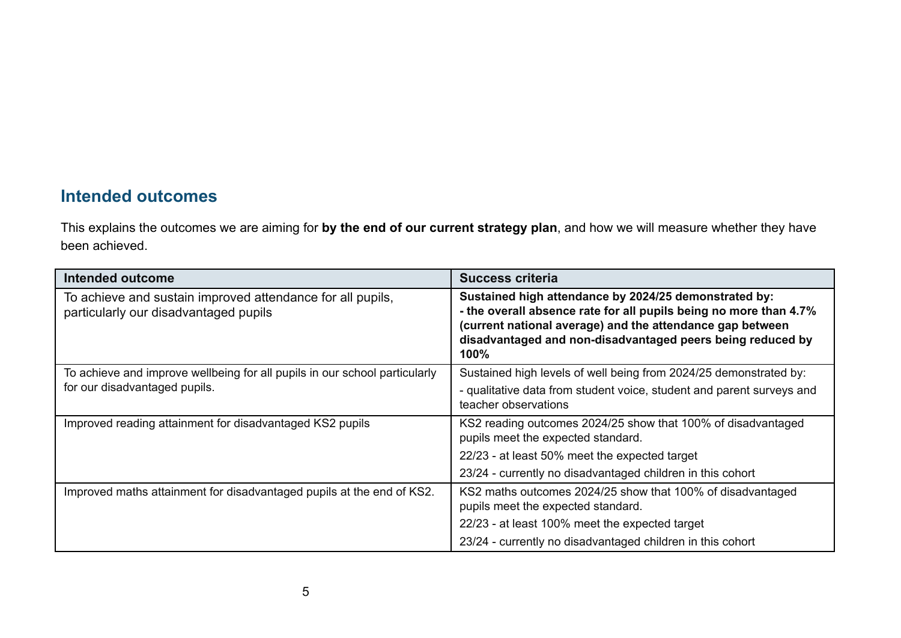#### **Intended outcomes**

This explains the outcomes we are aiming for **by the end of our current strategy plan**, and how we will measure whether they have been achieved.

| <b>Intended outcome</b>                                                                             | <b>Success criteria</b>                                                                                                                                                                                                                                       |
|-----------------------------------------------------------------------------------------------------|---------------------------------------------------------------------------------------------------------------------------------------------------------------------------------------------------------------------------------------------------------------|
| To achieve and sustain improved attendance for all pupils,<br>particularly our disadvantaged pupils | Sustained high attendance by 2024/25 demonstrated by:<br>- the overall absence rate for all pupils being no more than 4.7%<br>(current national average) and the attendance gap between<br>disadvantaged and non-disadvantaged peers being reduced by<br>100% |
| To achieve and improve wellbeing for all pupils in our school particularly                          | Sustained high levels of well being from 2024/25 demonstrated by:                                                                                                                                                                                             |
| for our disadvantaged pupils.                                                                       | - qualitative data from student voice, student and parent surveys and<br>teacher observations                                                                                                                                                                 |
| Improved reading attainment for disadvantaged KS2 pupils                                            | KS2 reading outcomes 2024/25 show that 100% of disadvantaged<br>pupils meet the expected standard.                                                                                                                                                            |
|                                                                                                     | 22/23 - at least 50% meet the expected target                                                                                                                                                                                                                 |
|                                                                                                     | 23/24 - currently no disadvantaged children in this cohort                                                                                                                                                                                                    |
| Improved maths attainment for disadvantaged pupils at the end of KS2.                               | KS2 maths outcomes 2024/25 show that 100% of disadvantaged<br>pupils meet the expected standard.                                                                                                                                                              |
|                                                                                                     | 22/23 - at least 100% meet the expected target                                                                                                                                                                                                                |
|                                                                                                     | 23/24 - currently no disadvantaged children in this cohort                                                                                                                                                                                                    |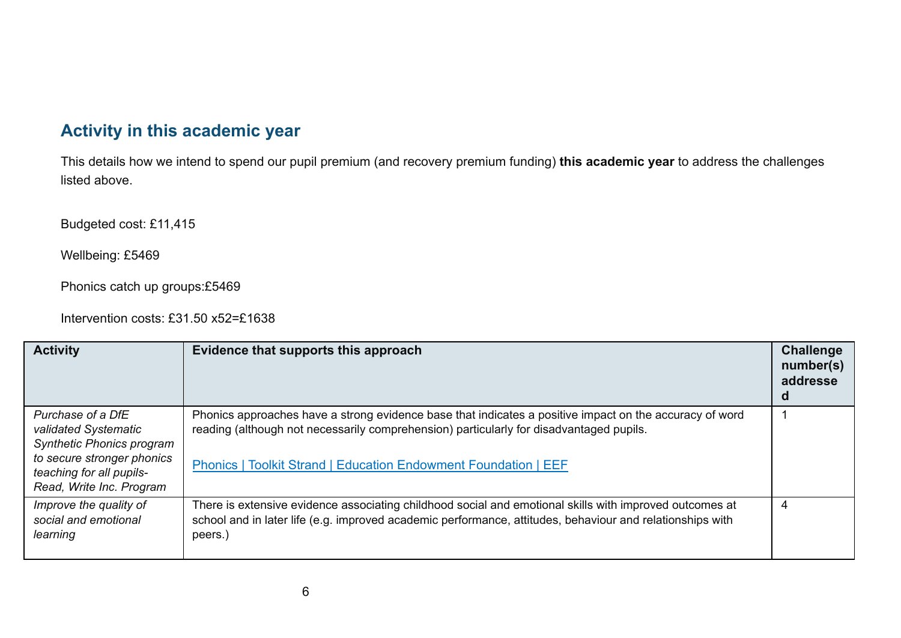### **Activity in this academic year**

This details how we intend to spend our pupil premium (and recovery premium funding) **this academic year** to address the challenges listed above.

Budgeted cost: £11,415

Wellbeing: £5469

Phonics catch up groups:£5469

Intervention costs: £31.50 x52=£1638

| <b>Activity</b>                                                                                                                                                     | Evidence that supports this approach                                                                                                                                                                                                                                         | <b>Challenge</b><br>number(s)<br>addresse<br>d |
|---------------------------------------------------------------------------------------------------------------------------------------------------------------------|------------------------------------------------------------------------------------------------------------------------------------------------------------------------------------------------------------------------------------------------------------------------------|------------------------------------------------|
| Purchase of a DfE<br>validated Systematic<br><b>Synthetic Phonics program</b><br>to secure stronger phonics<br>teaching for all pupils-<br>Read, Write Inc. Program | Phonics approaches have a strong evidence base that indicates a positive impact on the accuracy of word<br>reading (although not necessarily comprehension) particularly for disadvantaged pupils.<br><b>Phonics   Toolkit Strand   Education Endowment Foundation   EEF</b> |                                                |
| Improve the quality of<br>social and emotional<br>learning                                                                                                          | There is extensive evidence associating childhood social and emotional skills with improved outcomes at<br>school and in later life (e.g. improved academic performance, attitudes, behaviour and relationships with<br>peers.)                                              | 4                                              |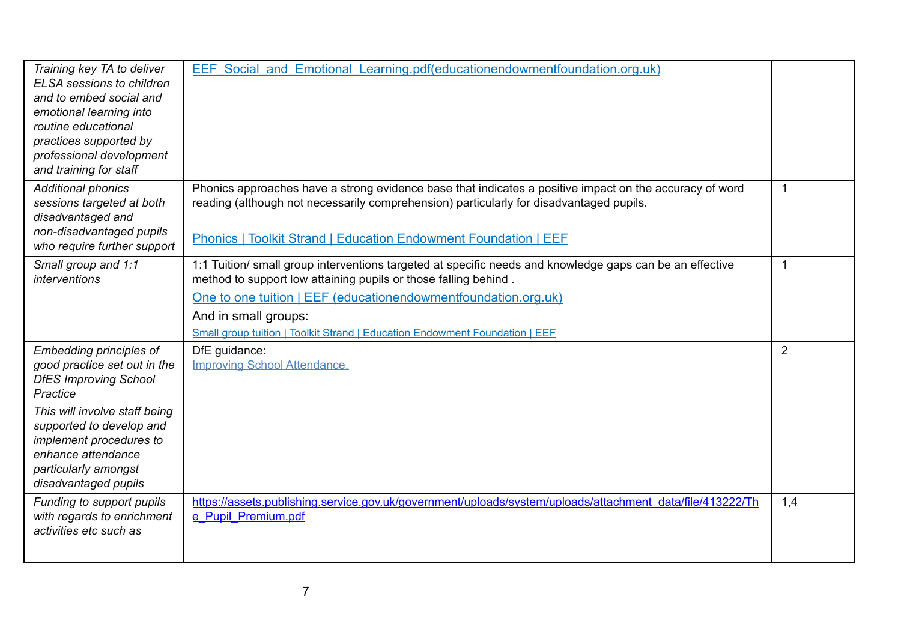| Training key TA to deliver<br><b>ELSA</b> sessions to children<br>and to embed social and<br>emotional learning into<br>routine educational<br>practices supported by<br>professional development<br>and training for staff                                              | EEF Social and Emotional Learning.pdf(educationendowmentfoundation.org.uk)                                                                                                                                                                                                                                                                           |                |
|--------------------------------------------------------------------------------------------------------------------------------------------------------------------------------------------------------------------------------------------------------------------------|------------------------------------------------------------------------------------------------------------------------------------------------------------------------------------------------------------------------------------------------------------------------------------------------------------------------------------------------------|----------------|
| <b>Additional phonics</b><br>sessions targeted at both<br>disadvantaged and<br>non-disadvantaged pupils<br>who require further support                                                                                                                                   | Phonics approaches have a strong evidence base that indicates a positive impact on the accuracy of word<br>reading (although not necessarily comprehension) particularly for disadvantaged pupils.<br><b>Phonics   Toolkit Strand   Education Endowment Foundation   EEF</b>                                                                         | $\mathbf 1$    |
| Small group and 1:1<br><i>interventions</i>                                                                                                                                                                                                                              | 1:1 Tuition/ small group interventions targeted at specific needs and knowledge gaps can be an effective<br>method to support low attaining pupils or those falling behind.<br>One to one tuition   EEF (educationendowmentfoundation.org.uk)<br>And in small groups:<br>Small group tuition   Toolkit Strand   Education Endowment Foundation   EEF | $\mathbf 1$    |
| <b>Embedding principles of</b><br>good practice set out in the<br><b>DfES Improving School</b><br>Practice<br>This will involve staff being<br>supported to develop and<br>implement procedures to<br>enhance attendance<br>particularly amongst<br>disadvantaged pupils | DfE guidance:<br><b>Improving School Attendance.</b>                                                                                                                                                                                                                                                                                                 | $\overline{2}$ |
| Funding to support pupils<br>with regards to enrichment<br>activities etc such as                                                                                                                                                                                        | https://assets.publishing.service.gov.uk/government/uploads/system/uploads/attachment_data/file/413222/Th<br>e Pupil Premium.pdf                                                                                                                                                                                                                     | 1,4            |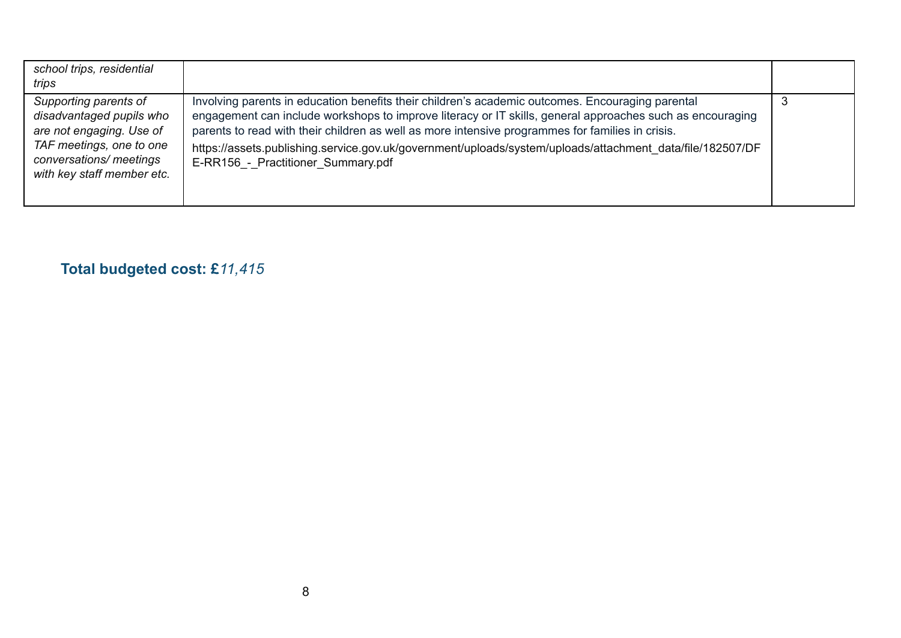| school trips, residential<br>trips                                                                                                                                 |                                                                                                                                                                                                                                                                                                                                                                                                                                                                      |  |
|--------------------------------------------------------------------------------------------------------------------------------------------------------------------|----------------------------------------------------------------------------------------------------------------------------------------------------------------------------------------------------------------------------------------------------------------------------------------------------------------------------------------------------------------------------------------------------------------------------------------------------------------------|--|
| Supporting parents of<br>disadvantaged pupils who<br>are not engaging. Use of<br>TAF meetings, one to one<br>conversations/ meetings<br>with key staff member etc. | Involving parents in education benefits their children's academic outcomes. Encouraging parental<br>engagement can include workshops to improve literacy or IT skills, general approaches such as encouraging<br>parents to read with their children as well as more intensive programmes for families in crisis.<br>https://assets.publishing.service.gov.uk/government/uploads/system/uploads/attachment_data/file/182507/DF<br>E-RR156 - Practitioner Summary.pdf |  |

**Total budgeted cost: £***11,415*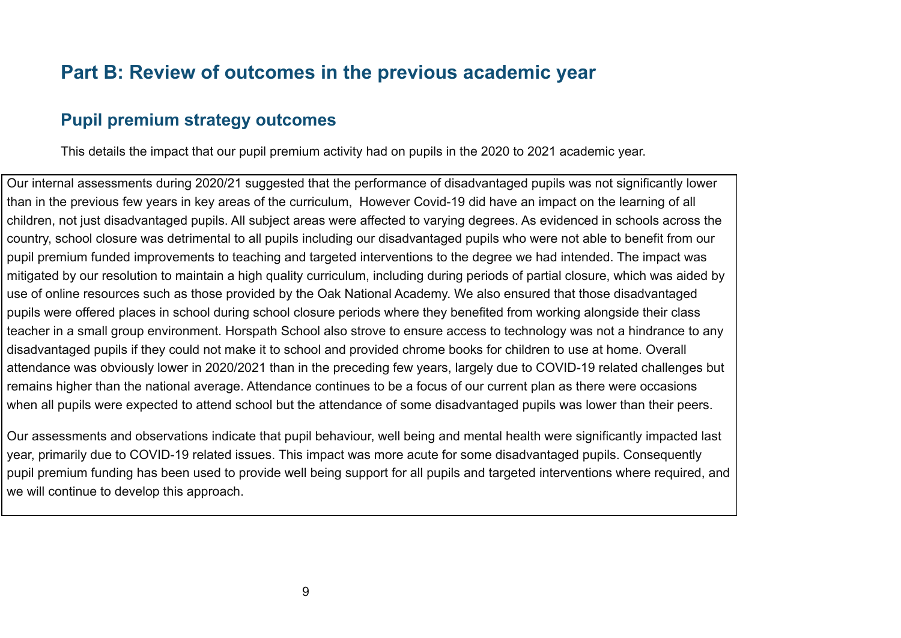# **Part B: Review of outcomes in the previous academic year**

#### **Pupil premium strategy outcomes**

This details the impact that our pupil premium activity had on pupils in the 2020 to 2021 academic year.

Our internal assessments during 2020/21 suggested that the performance of disadvantaged pupils was not significantly lower than in the previous few years in key areas of the curriculum, However Covid-19 did have an impact on the learning of all children, not just disadvantaged pupils. All subject areas were affected to varying degrees. As evidenced in schools across the country, school closure was detrimental to all pupils including our disadvantaged pupils who were not able to benefit from our pupil premium funded improvements to teaching and targeted interventions to the degree we had intended. The impact was mitigated by our resolution to maintain a high quality curriculum, including during periods of partial closure, which was aided by use of online resources such as those provided by the Oak National Academy. We also ensured that those disadvantaged pupils were offered places in school during school closure periods where they benefited from working alongside their class teacher in a small group environment. Horspath School also strove to ensure access to technology was not a hindrance to any disadvantaged pupils if they could not make it to school and provided chrome books for children to use at home. Overall attendance was obviously lower in 2020/2021 than in the preceding few years, largely due to COVID-19 related challenges but remains higher than the national average. Attendance continues to be a focus of our current plan as there were occasions when all pupils were expected to attend school but the attendance of some disadvantaged pupils was lower than their peers.

Our assessments and observations indicate that pupil behaviour, well being and mental health were significantly impacted last year, primarily due to COVID-19 related issues. This impact was more acute for some disadvantaged pupils. Consequently pupil premium funding has been used to provide well being support for all pupils and targeted interventions where required, and we will continue to develop this approach.